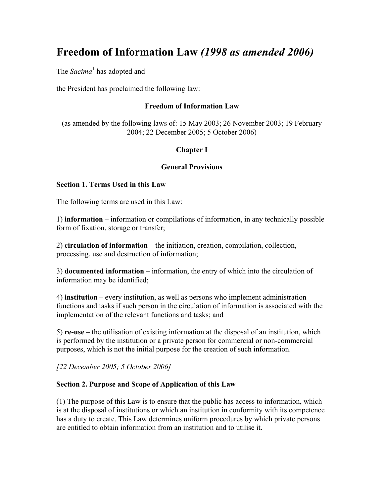# **Freedom of Information Law** *(1998 as amended 2006)*

The *Saeima*<sup>1</sup> has adopted and

the President has proclaimed the following law:

#### **Freedom of Information Law**

(as amended by the following laws of: 15 May 2003; 26 November 2003; 19 February 2004; 22 December 2005; 5 October 2006)

# **Chapter I**

#### **General Provisions**

#### **Section 1. Terms Used in this Law**

The following terms are used in this Law:

1) **information** – information or compilations of information, in any technically possible form of fixation, storage or transfer;

2) **circulation of information** – the initiation, creation, compilation, collection, processing, use and destruction of information;

3) **documented information** – information, the entry of which into the circulation of information may be identified;

4) **institution** – every institution, as well as persons who implement administration functions and tasks if such person in the circulation of information is associated with the implementation of the relevant functions and tasks; and

5) **re-use** – the utilisation of existing information at the disposal of an institution, which is performed by the institution or a private person for commercial or non-commercial purposes, which is not the initial purpose for the creation of such information.

*[22 December 2005; 5 October 2006]* 

## **Section 2. Purpose and Scope of Application of this Law**

(1) The purpose of this Law is to ensure that the public has access to information, which is at the disposal of institutions or which an institution in conformity with its competence has a duty to create. This Law determines uniform procedures by which private persons are entitled to obtain information from an institution and to utilise it.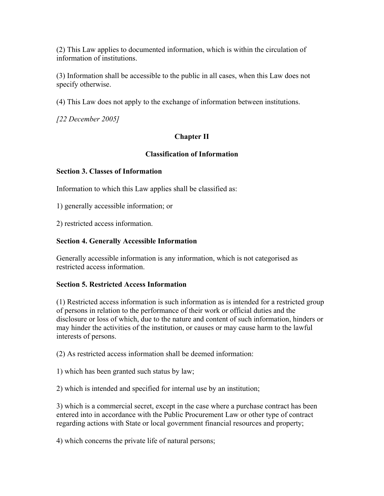(2) This Law applies to documented information, which is within the circulation of information of institutions.

(3) Information shall be accessible to the public in all cases, when this Law does not specify otherwise.

(4) This Law does not apply to the exchange of information between institutions.

*[22 December 2005]*

# **Chapter II**

## **Classification of Information**

## **Section 3. Classes of Information**

Information to which this Law applies shall be classified as:

1) generally accessible information; or

2) restricted access information.

## **Section 4. Generally Accessible Information**

Generally accessible information is any information, which is not categorised as restricted access information.

## **Section 5. Restricted Access Information**

(1) Restricted access information is such information as is intended for a restricted group of persons in relation to the performance of their work or official duties and the disclosure or loss of which, due to the nature and content of such information, hinders or may hinder the activities of the institution, or causes or may cause harm to the lawful interests of persons.

(2) As restricted access information shall be deemed information:

1) which has been granted such status by law;

2) which is intended and specified for internal use by an institution;

3) which is a commercial secret, except in the case where a purchase contract has been entered into in accordance with the Public Procurement Law or other type of contract regarding actions with State or local government financial resources and property;

4) which concerns the private life of natural persons;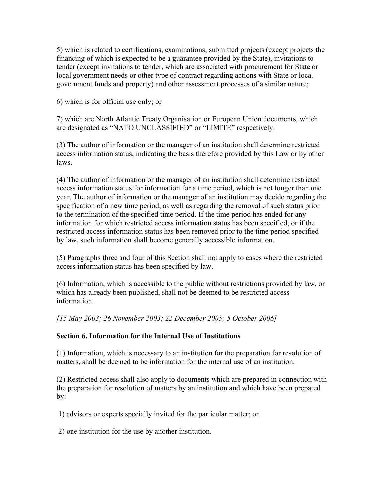5) which is related to certifications, examinations, submitted projects (except projects the financing of which is expected to be a guarantee provided by the State), invitations to tender (except invitations to tender, which are associated with procurement for State or local government needs or other type of contract regarding actions with State or local government funds and property) and other assessment processes of a similar nature;

6) which is for official use only; or

7) which are North Atlantic Treaty Organisation or European Union documents, which are designated as "NATO UNCLASSIFIED" or "LIMITE" respectively.

(3) The author of information or the manager of an institution shall determine restricted access information status, indicating the basis therefore provided by this Law or by other laws.

(4) The author of information or the manager of an institution shall determine restricted access information status for information for a time period, which is not longer than one year. The author of information or the manager of an institution may decide regarding the specification of a new time period, as well as regarding the removal of such status prior to the termination of the specified time period. If the time period has ended for any information for which restricted access information status has been specified, or if the restricted access information status has been removed prior to the time period specified by law, such information shall become generally accessible information.

(5) Paragraphs three and four of this Section shall not apply to cases where the restricted access information status has been specified by law.

(6) Information, which is accessible to the public without restrictions provided by law, or which has already been published, shall not be deemed to be restricted access information.

*[15 May 2003; 26 November 2003; 22 December 2005; 5 October 2006]*

## **Section 6. Information for the Internal Use of Institutions**

(1) Information, which is necessary to an institution for the preparation for resolution of matters, shall be deemed to be information for the internal use of an institution.

(2) Restricted access shall also apply to documents which are prepared in connection with the preparation for resolution of matters by an institution and which have been prepared by:

1) advisors or experts specially invited for the particular matter; or

2) one institution for the use by another institution.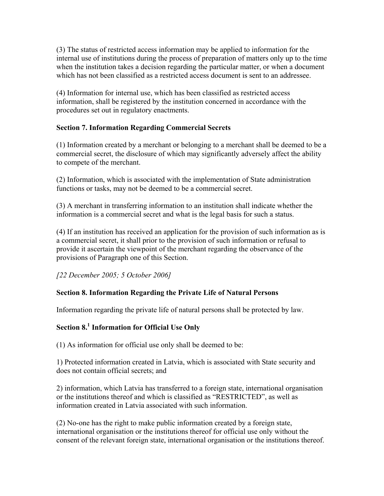(3) The status of restricted access information may be applied to information for the internal use of institutions during the process of preparation of matters only up to the time when the institution takes a decision regarding the particular matter, or when a document which has not been classified as a restricted access document is sent to an addressee.

(4) Information for internal use, which has been classified as restricted access information, shall be registered by the institution concerned in accordance with the procedures set out in regulatory enactments.

# **Section 7. Information Regarding Commercial Secrets**

(1) Information created by a merchant or belonging to a merchant shall be deemed to be a commercial secret, the disclosure of which may significantly adversely affect the ability to compete of the merchant.

(2) Information, which is associated with the implementation of State administration functions or tasks, may not be deemed to be a commercial secret.

(3) A merchant in transferring information to an institution shall indicate whether the information is a commercial secret and what is the legal basis for such a status.

(4) If an institution has received an application for the provision of such information as is a commercial secret, it shall prior to the provision of such information or refusal to provide it ascertain the viewpoint of the merchant regarding the observance of the provisions of Paragraph one of this Section.

*[22 December 2005; 5 October 2006]*

# **Section 8. Information Regarding the Private Life of Natural Persons**

Information regarding the private life of natural persons shall be protected by law.

# **Section 8.<sup>1</sup> Information for Official Use Only**

(1) As information for official use only shall be deemed to be:

1) Protected information created in Latvia, which is associated with State security and does not contain official secrets; and

2) information, which Latvia has transferred to a foreign state, international organisation or the institutions thereof and which is classified as "RESTRICTED", as well as information created in Latvia associated with such information.

(2) No-one has the right to make public information created by a foreign state, international organisation or the institutions thereof for official use only without the consent of the relevant foreign state, international organisation or the institutions thereof.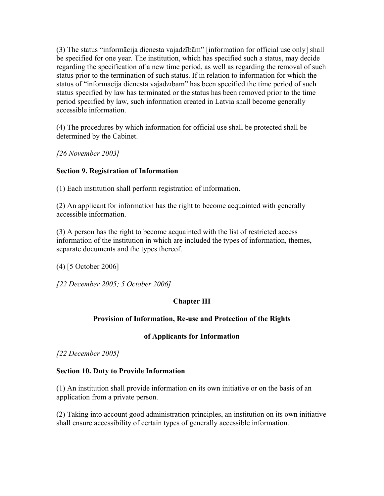(3) The status "informācija dienesta vajadzībām" [information for official use only] shall be specified for one year. The institution, which has specified such a status, may decide regarding the specification of a new time period, as well as regarding the removal of such status prior to the termination of such status. If in relation to information for which the status of "informācija dienesta vajadzībām" has been specified the time period of such status specified by law has terminated or the status has been removed prior to the time period specified by law, such information created in Latvia shall become generally accessible information.

(4) The procedures by which information for official use shall be protected shall be determined by the Cabinet.

*[26 November 2003]*

# **Section 9. Registration of Information**

(1) Each institution shall perform registration of information.

(2) An applicant for information has the right to become acquainted with generally accessible information.

(3) A person has the right to become acquainted with the list of restricted access information of the institution in which are included the types of information, themes, separate documents and the types thereof.

(4) [5 October 2006]

*[22 December 2005; 5 October 2006]*

# **Chapter III**

# **Provision of Information, Re-use and Protection of the Rights**

## **of Applicants for Information**

*[22 December 2005]*

## **Section 10. Duty to Provide Information**

(1) An institution shall provide information on its own initiative or on the basis of an application from a private person.

(2) Taking into account good administration principles, an institution on its own initiative shall ensure accessibility of certain types of generally accessible information.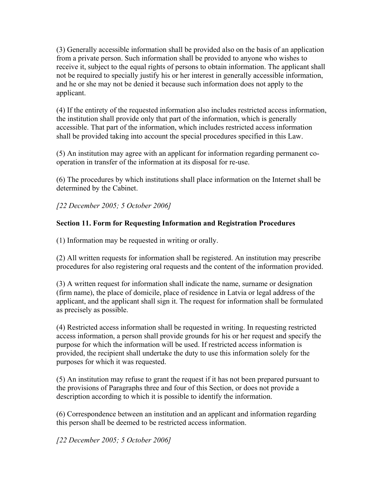(3) Generally accessible information shall be provided also on the basis of an application from a private person. Such information shall be provided to anyone who wishes to receive it, subject to the equal rights of persons to obtain information. The applicant shall not be required to specially justify his or her interest in generally accessible information, and he or she may not be denied it because such information does not apply to the applicant.

(4) If the entirety of the requested information also includes restricted access information, the institution shall provide only that part of the information, which is generally accessible. That part of the information, which includes restricted access information shall be provided taking into account the special procedures specified in this Law.

(5) An institution may agree with an applicant for information regarding permanent cooperation in transfer of the information at its disposal for re-use.

(6) The procedures by which institutions shall place information on the Internet shall be determined by the Cabinet.

*[22 December 2005; 5 October 2006]*

# **Section 11. Form for Requesting Information and Registration Procedures**

(1) Information may be requested in writing or orally.

(2) All written requests for information shall be registered. An institution may prescribe procedures for also registering oral requests and the content of the information provided.

(3) A written request for information shall indicate the name, surname or designation (firm name), the place of domicile, place of residence in Latvia or legal address of the applicant, and the applicant shall sign it. The request for information shall be formulated as precisely as possible.

(4) Restricted access information shall be requested in writing. In requesting restricted access information, a person shall provide grounds for his or her request and specify the purpose for which the information will be used. If restricted access information is provided, the recipient shall undertake the duty to use this information solely for the purposes for which it was requested.

(5) An institution may refuse to grant the request if it has not been prepared pursuant to the provisions of Paragraphs three and four of this Section, or does not provide a description according to which it is possible to identify the information.

(6) Correspondence between an institution and an applicant and information regarding this person shall be deemed to be restricted access information.

*[22 December 2005; 5 October 2006]*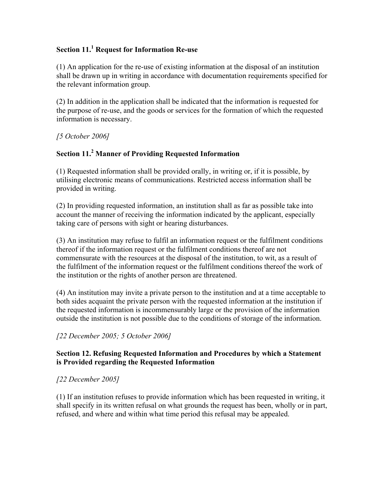# **Section 11.<sup>1</sup> Request for Information Re-use**

(1) An application for the re-use of existing information at the disposal of an institution shall be drawn up in writing in accordance with documentation requirements specified for the relevant information group.

(2) In addition in the application shall be indicated that the information is requested for the purpose of re-use, and the goods or services for the formation of which the requested information is necessary.

*[5 October 2006]*

# **Section 11.<sup>2</sup> Manner of Providing Requested Information**

(1) Requested information shall be provided orally, in writing or, if it is possible, by utilising electronic means of communications. Restricted access information shall be provided in writing.

(2) In providing requested information, an institution shall as far as possible take into account the manner of receiving the information indicated by the applicant, especially taking care of persons with sight or hearing disturbances.

(3) An institution may refuse to fulfil an information request or the fulfilment conditions thereof if the information request or the fulfilment conditions thereof are not commensurate with the resources at the disposal of the institution, to wit, as a result of the fulfilment of the information request or the fulfilment conditions thereof the work of the institution or the rights of another person are threatened.

(4) An institution may invite a private person to the institution and at a time acceptable to both sides acquaint the private person with the requested information at the institution if the requested information is incommensurably large or the provision of the information outside the institution is not possible due to the conditions of storage of the information.

*[22 December 2005; 5 October 2006]*

## **Section 12. Refusing Requested Information and Procedures by which a Statement is Provided regarding the Requested Information**

# *[22 December 2005]*

(1) If an institution refuses to provide information which has been requested in writing, it shall specify in its written refusal on what grounds the request has been, wholly or in part, refused, and where and within what time period this refusal may be appealed.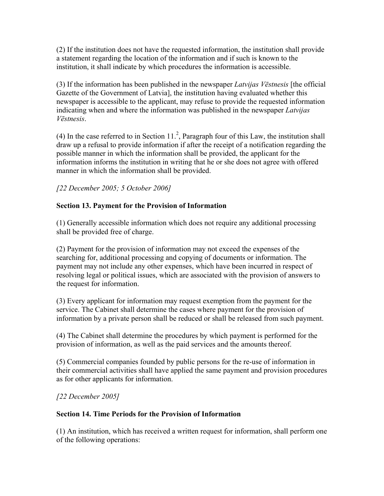(2) If the institution does not have the requested information, the institution shall provide a statement regarding the location of the information and if such is known to the institution, it shall indicate by which procedures the information is accessible.

(3) If the information has been published in the newspaper *Latvijas Vēstnesis* [the official Gazette of the Government of Latvia], the institution having evaluated whether this newspaper is accessible to the applicant, may refuse to provide the requested information indicating when and where the information was published in the newspaper *Latvijas Vēstnesis*.

(4) In the case referred to in Section  $11<sup>2</sup>$ , Paragraph four of this Law, the institution shall draw up a refusal to provide information if after the receipt of a notification regarding the possible manner in which the information shall be provided, the applicant for the information informs the institution in writing that he or she does not agree with offered manner in which the information shall be provided.

*[22 December 2005; 5 October 2006]* 

# **Section 13. Payment for the Provision of Information**

(1) Generally accessible information which does not require any additional processing shall be provided free of charge.

(2) Payment for the provision of information may not exceed the expenses of the searching for, additional processing and copying of documents or information. The payment may not include any other expenses, which have been incurred in respect of resolving legal or political issues, which are associated with the provision of answers to the request for information.

(3) Every applicant for information may request exemption from the payment for the service. The Cabinet shall determine the cases where payment for the provision of information by a private person shall be reduced or shall be released from such payment.

(4) The Cabinet shall determine the procedures by which payment is performed for the provision of information, as well as the paid services and the amounts thereof.

(5) Commercial companies founded by public persons for the re-use of information in their commercial activities shall have applied the same payment and provision procedures as for other applicants for information.

*[22 December 2005]*

# **Section 14. Time Periods for the Provision of Information**

(1) An institution, which has received a written request for information, shall perform one of the following operations: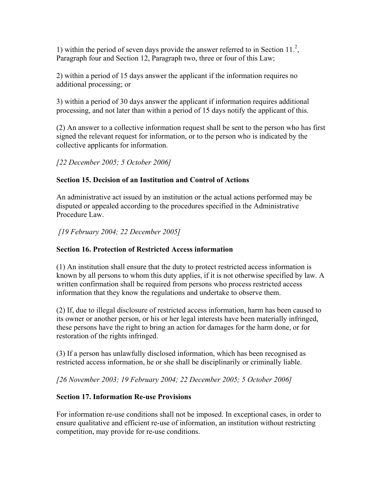1) within the period of seven days provide the answer referred to in Section  $11<sup>2</sup>$ , Paragraph four and Section 12, Paragraph two, three or four of this Law;

2) within a period of 15 days answer the applicant if the information requires no additional processing; or

3) within a period of 30 days answer the applicant if information requires additional processing, and not later than within a period of 15 days notify the applicant of this.

(2) An answer to a collective information request shall be sent to the person who has first signed the relevant request for information, or to the person who is indicated by the collective applicants for information.

*[22 December 2005; 5 October 2006]*

# **Section 15. Decision of an Institution and Control of Actions**

An administrative act issued by an institution or the actual actions performed may be disputed or appealed according to the procedures specified in the Administrative Procedure Law.

 *[19 February 2004; 22 December 2005]*

## **Section 16. Protection of Restricted Access information**

(1) An institution shall ensure that the duty to protect restricted access information is known by all persons to whom this duty applies, if it is not otherwise specified by law. A written confirmation shall be required from persons who process restricted access information that they know the regulations and undertake to observe them.

(2) If, due to illegal disclosure of restricted access information, harm has been caused to its owner or another person, or his or her legal interests have been materially infringed, these persons have the right to bring an action for damages for the harm done, or for restoration of the rights infringed.

(3) If a person has unlawfully disclosed information, which has been recognised as restricted access information, he or she shall be disciplinarily or criminally liable.

*[26 November 2003; 19 February 2004; 22 December 2005; 5 October 2006]*

## **Section 17. Information Re-use Provisions**

For information re-use conditions shall not be imposed. In exceptional cases, in order to ensure qualitative and efficient re-use of information, an institution without restricting competition, may provide for re-use conditions.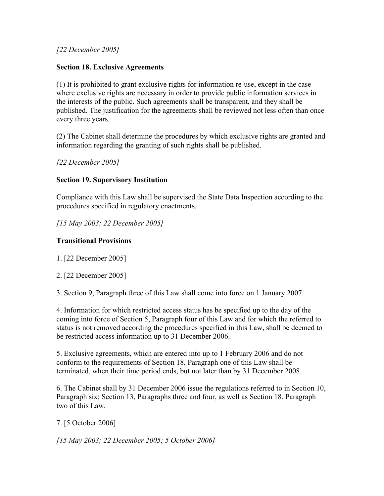*[22 December 2005]*

# **Section 18. Exclusive Agreements**

(1) It is prohibited to grant exclusive rights for information re-use, except in the case where exclusive rights are necessary in order to provide public information services in the interests of the public. Such agreements shall be transparent, and they shall be published. The justification for the agreements shall be reviewed not less often than once every three years.

(2) The Cabinet shall determine the procedures by which exclusive rights are granted and information regarding the granting of such rights shall be published.

*[22 December 2005]*

# **Section 19. Supervisory Institution**

Compliance with this Law shall be supervised the State Data Inspection according to the procedures specified in regulatory enactments.

*[15 May 2003; 22 December 2005]*

# **Transitional Provisions**

1. [22 December 2005]

2. [22 December 2005]

3. Section 9, Paragraph three of this Law shall come into force on 1 January 2007.

4. Information for which restricted access status has be specified up to the day of the coming into force of Section 5, Paragraph four of this Law and for which the referred to status is not removed according the procedures specified in this Law, shall be deemed to be restricted access information up to 31 December 2006.

5. Exclusive agreements, which are entered into up to 1 February 2006 and do not conform to the requirements of Section 18, Paragraph one of this Law shall be terminated, when their time period ends, but not later than by 31 December 2008.

6. The Cabinet shall by 31 December 2006 issue the regulations referred to in Section 10, Paragraph six; Section 13, Paragraphs three and four, as well as Section 18, Paragraph two of this Law.

7. [5 October 2006]

*[15 May 2003; 22 December 2005; 5 October 2006]*